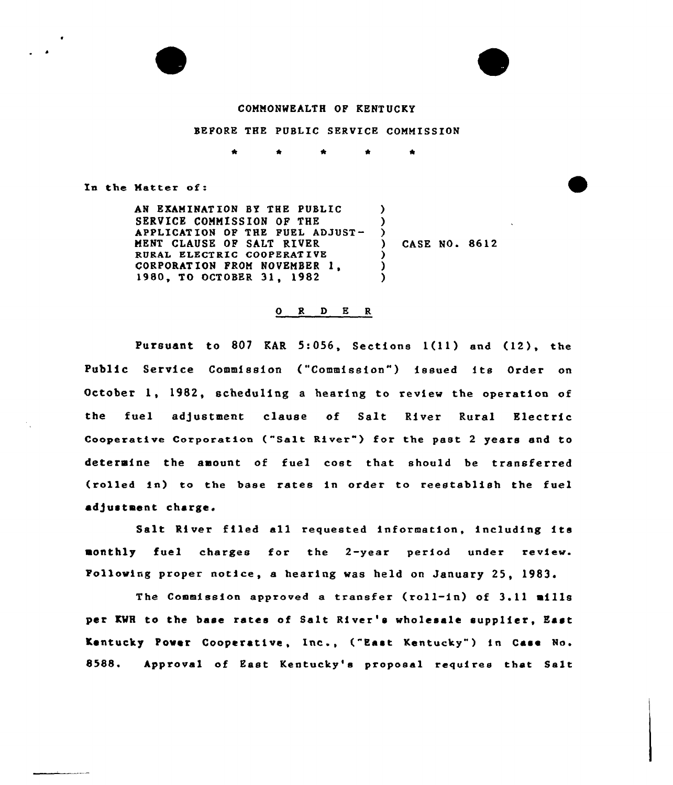

 $\overline{\phantom{a}}$ 

#### COMMONWEALTH OF KENTUCKY

#### BEFORE THE PUBLIC SERVICE COMMISSION

In the Natter of:

AN EXAMINATION BY THE PUBLIC SERVICE COMMISSION OF THE APPLICATION OP THE PURL ADJUST-MENT CLAUSE OF SALT RIVER RURAL ELECTRIC COOPERATIVE CORPORAT ION <sup>F</sup>ROM NOVEMBER 1, 1980, TO OCTOBER 31, <sup>1982</sup>  $\lambda$  $\lambda$  $)$ ) CASE NO. 8612  $\lambda$ ) )

#### O R D E R

Pursuant to 807 KAR 5:056, Sections 1(11) and (12), the Public Service Commission ("Commission") issued its Order on October 1, 1982, scheduling a hearing to review the operation of the fuel adjustment clause of Salt River Rural Electric Cooperative Corporation ("Salt River" ) for the past <sup>2</sup> years and to determine the amount of fuel cost that should be transferred (rolled in) to the base rates in order to reestablish the fuel adjustment charge.

Salt River filed all requested information, including its monthly fuel charges for the 2-year period under review. Following proper notice, a hearing was held on January 25, 1983.

The Commission approved <sup>a</sup> transfer (roll-in) of 3.11 mills per KWH to the base rates of Salt River's wholesale supplier, East Kentucky Power Cooperative, Inc., ("East Kentucky" ) in Case Na. S588. Approval of East Kentucky's proposal requires that Salt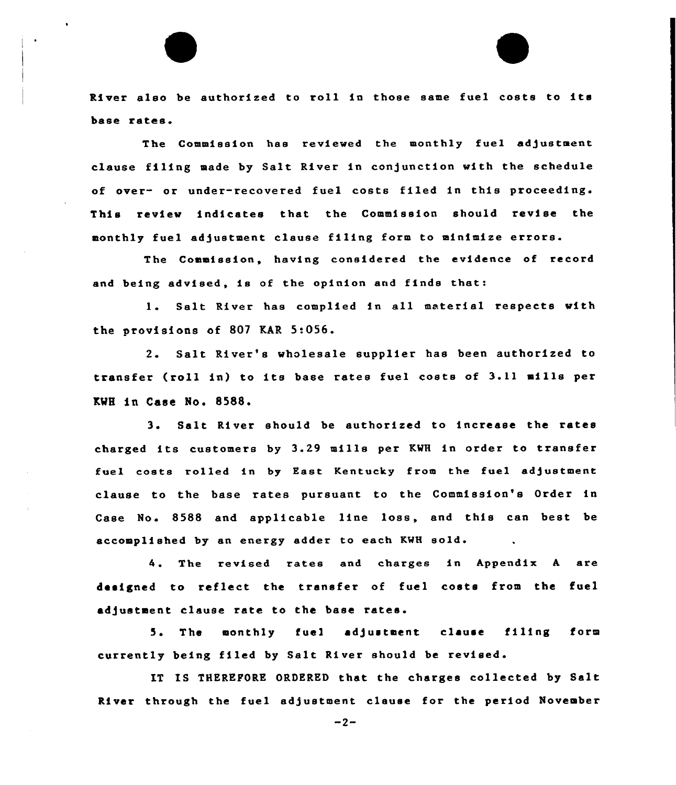River also be authorized to roll in those same fuel costs to its base rates.

The Commission has reviewed the monthly fuel adjustment clause filing made by Salt River in conjunction with the schedule of over- or under-recovered fuel costs filed in this proceeding. This review indicates that the Commission should revise the monthly fuel adjustment clause filing form to minimize errors.

The Commission, having considered the evidence of record and being advised, is of the opinion and finds that:

l. Salt River has complied in all material respects with the provisions of 807 KAR 5:056.

2. Salt River's wholesale supplier has been authorized to transfer (roll in) to its base rates fuel costs of 3.11 mills per KWH in Case No. 8588.

<sup>3</sup> <sup>~</sup> Salt River should be authorized to increase the rates charged its customers by 3.29 mills per KWH in order to transfer fuel costs rolled in by East Kentucky from the fuel adjustment clause to the base rates pursuant to the Commission's Order in Case No. 8588 and applicable line loss, and this can best be accomplished by an energy adder to each KWH sold.

The revised rates and charges in Appendix <sup>A</sup> are designed to reflect the transfer of fuel costs from the fuel adjustment clause rate to the base rates.

5. The monthly fuel adjustment clause filing form currently being filed by Salt River should be revised.

IT IS THEREFORE ORDERED that the charges collected by Salt River through the fuel adjustment clause for the period November

 $-2-$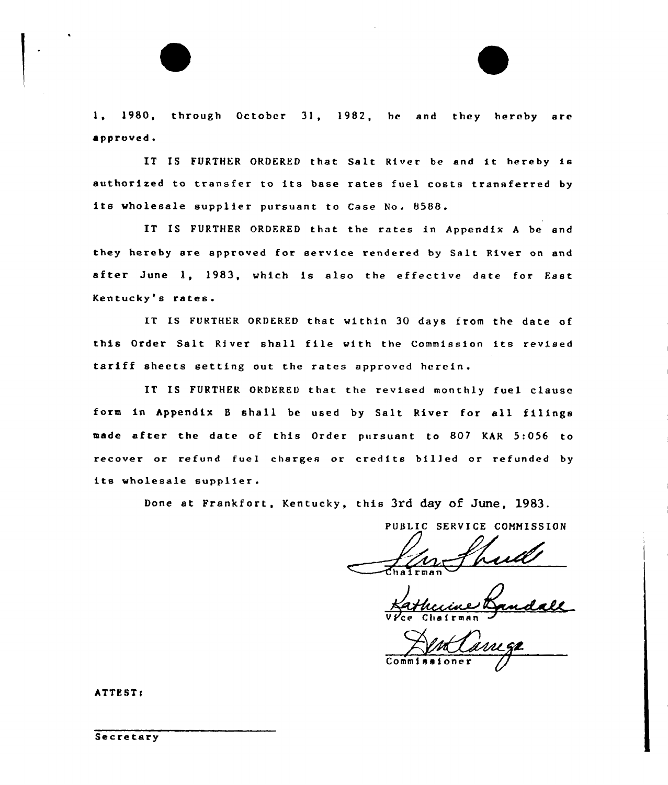1, 1980, through October 31, 1982, be and they hereby are approved.

IT IS FURTHER ORDERED that Salt River be and it hereby is authorized to transfer to its base rates fuel costs transferred by its wholesale supplier pursuant to Case No. 8588

IS FURTHER ORDERED that the rates in Appendix A be and they hereby are approved for service rendered by Salt River on and after June 1, 1983, which is also the effective date for East Kentucky's rates.

IT IS FURTHER ORDERED that within 30 days from the date of this Order Salt River shall file with the Commission its revised tariff sheets setting out the rates approved herein.

IT IS FURTHER ORDERED that the revised monthly fuel clause form in Appendix <sup>B</sup> shall be used by Salt River for all filings made after the date of this Order pursuant to 802 KAR 5:056 to recover or refund fuel charges or credits bil]ed or refunded by its wholesale supplier.

Done at Frankfort, Kentucky, this 3rd day Of June, 1983.

PUBLIC SERVICE COMMISSION

V*Y*ce Chairman

Commissioner /

ATTEST:

Secretary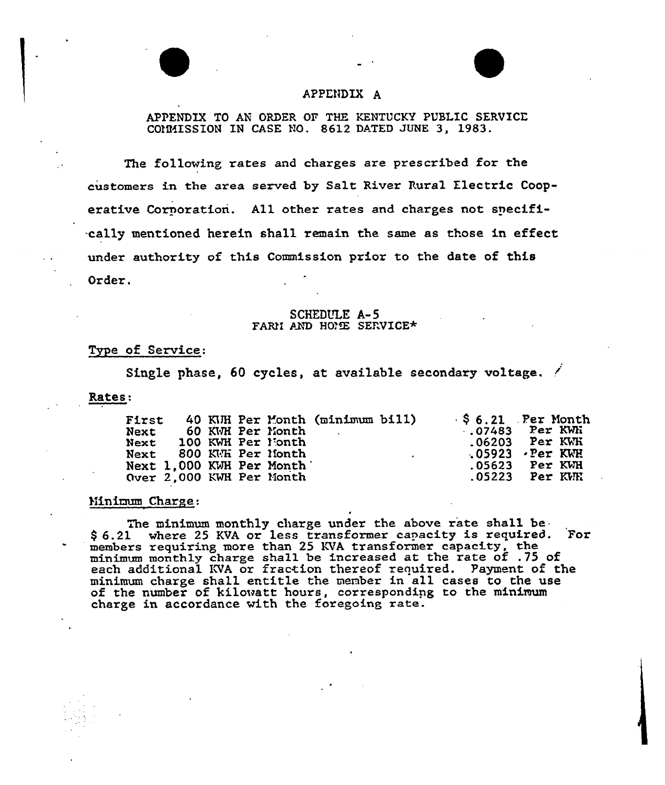# APPENDIX A

## APPENDIX TO AN ORDER OF THE KENTUCKY PUBLIC SERVICE COMMISSION IN CASE NO. 8612 DATED JUNE 3. 1983.

The following rates and charges are prescribed for the customers in the area served. by Salt River Rural Electric Cooperative Cornoration. All other rates and charges not specifi- -cally mentioned herein shall remain the. same as those in effect, under authority of this Commission prior to the date of this Order.

#### SCHEDULE A-5 FARM AND HOME SERVICE\*

#### Type of Service:

Single phase, 60 cycles, at available secondary voltage.

Rates:

| <b>First</b>             |  |                  | 40 KJH Per Month (minimum bill) |                                  | $\frac{1}{2}$ \$ 6.21 Per Month |
|--------------------------|--|------------------|---------------------------------|----------------------------------|---------------------------------|
| Next                     |  | 60 KWH Per Month |                                 |                                  | $.07483$ Per KWH                |
| Next 100 KWH Per Month   |  |                  |                                 |                                  | $.06203$ Per KWH                |
| Next 800 KMH Per Month   |  |                  |                                 | $\Delta \sim 10^{-10}$ m $^{-1}$ | $.05923$ $\cdot$ Per KWH        |
| Next 1,000 KWH Per Month |  |                  |                                 |                                  | .05623 Per KWH                  |
| Over 2,000 KWH Per Month |  |                  |                                 |                                  |                                 |

#### Minimum Charge:

The minimum monthly charge under the above rate shall be \$ 6.21 where 25 KVA or less transformer capacity is required. For members requiring more than 25 KVA transformer capacity, the members requiring more than 25 KWR cransformer expactly, the monthly charge shall be increased at the rate of .75 of each additional KVA or fraction thereof required. Payment of the minimum charge shall entitle the menbex in all cases to the use of the number of kilowatt hours, corresponding to the minimum charge in accordance with the foregoing rate.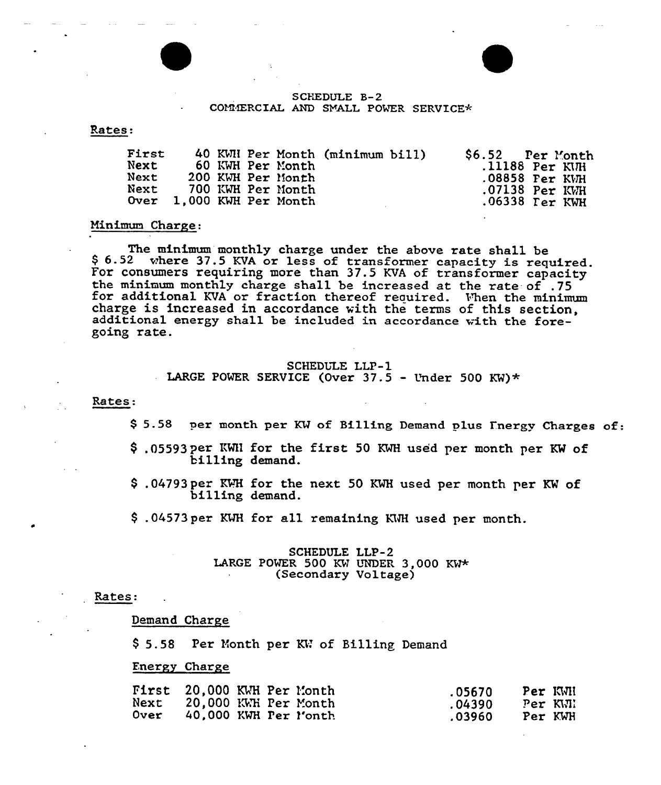

#### SCHEDULE B-2 COMMERCIAL AND SMALL POWER SERVICE\*

Rates:

| First<br>40 KWN Per Month (minimum bill)<br>Next<br>60 KWH Per Month<br>Next<br>200 KWH Per Month<br>Next<br>700 KWH Per Month<br>Over 1,000 KWH Per Month | \$6.52 Per Month<br>$.11188$ Per KWH<br>$.08858$ Per KVH<br>$.07138$ Per KWH<br>.06338 Ter KWH |
|------------------------------------------------------------------------------------------------------------------------------------------------------------|------------------------------------------------------------------------------------------------|
|------------------------------------------------------------------------------------------------------------------------------------------------------------|------------------------------------------------------------------------------------------------|

#### Minimum Charge:

The minimum monthly charge under the above rate shall be \$ 6.52 where 37.5 KVA or less of transformer capacity is required.<br>For consumers requiring more than 37.5 KVA of transformer capacity the minimum monthly charge shall be increased at the rate of .75 for additional KVA or fraction thereof required. Vhen the minimum charge is increased in accordance vith the terms of this section, additional energy shall be included in accordance vith the foregoing rate.

#### SCHEDULE LLP-l

LARGE POWER SERVICE (Over  $37.5$  - Under 500 KW)\*

Rates:

\$5.58 per month per KW of Billing Demand plus Inergy Charges of:

- \$ .05593 per KWN for the first 50 KWH used per month per KW of billing demand.
- \$ .04793 per KWH for the next 50 KWH used per month per KW of billing demand.
- \$ .04573 per KWH for all remaining KWH used per month.

#### SCHEDULE LLP-2 LARGE POWER 500 KW UNDER 3,000 KW\* (Secondary Voltage}

#### Rates:

Demand Charge

\$ 5.58 Per Month per KW of Billing Demand

#### Energy Charge

|      |  | First 20,000 KWH Per Month | .05670 | Per KWI |  |
|------|--|----------------------------|--------|---------|--|
|      |  | Next 20,000 KWH Per Month  | .04390 | Per KWI |  |
| Over |  | 40,000 KWH Per l'onth      | .03960 | Per KWH |  |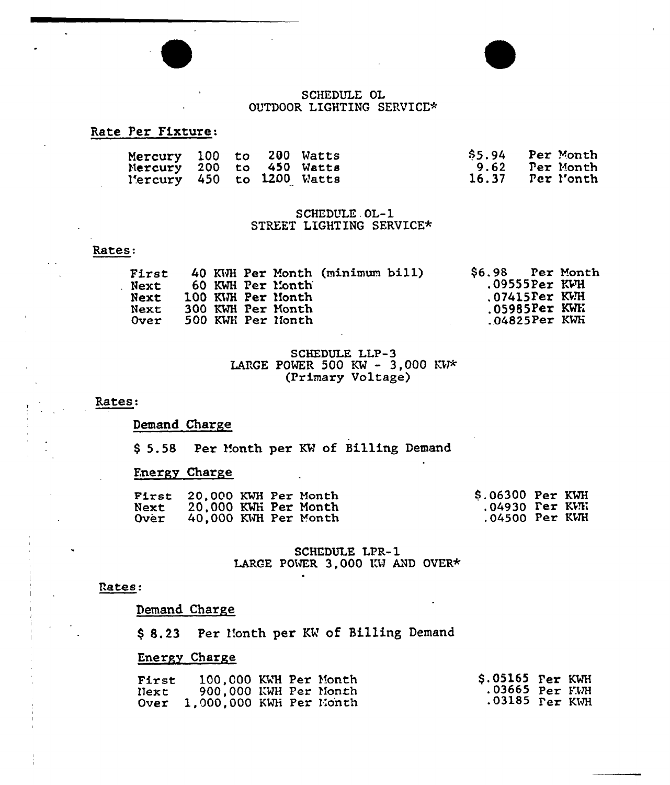## SCHEDULE OL OUTDOOR LIGHTING SERVICE\*

# Rate Per Fixture:

| Mercury 100 to 200 Watts  |  |  | \$5.94 Per Month |
|---------------------------|--|--|------------------|
| Nercury 200 to 450 Watts  |  |  | 9.62 Per Month   |
| Mercury 450 to 1200 Watts |  |  | 16.37 Per Month  |

## SCHEDULE OL-1 STREET LIGHTING SERVICE\*

## Rates:

| First |  |                   | 40 KWH Per Month (minimum bill) |  | \$6.98 Per Month                |  |
|-------|--|-------------------|---------------------------------|--|---------------------------------|--|
| Next  |  | 60 KWH Per Month  |                                 |  | $.09555$ Per KWH                |  |
| Next  |  | 100 KWH Per Month |                                 |  | $.07415$ $\n    \text{Per}$ KWH |  |
| Next  |  | 300 KWH Per Month |                                 |  | $.05985$ Per KWE                |  |
| Over  |  | 500 KWH Per Nonth |                                 |  | $.04825$ Per KWH                |  |

# SCHEDULE LLP-3 LARGE POWER 500 KW - 3,000 KW\* (Primary Voltage)

## Rates:

# Demand Charge

\$5.58 Per Month per KW of Billing Demand

## **Fnergy Charge**

|      | First 20.000 KWH Per Month |  | \$.06300 Per KWH |  |
|------|----------------------------|--|------------------|--|
| Next | 20,000 KWH Per Month       |  | .04930 Per KVR   |  |
| Over | 40,000 KWH Per Month       |  | $.04500$ Per KWH |  |

# **SCHEDULE LPR-1** LARGE POWER 3,000 KW AND OVER\*

## Rates:

# Demand Charge

\$ 8.23 Per Month per KW of Billing Demand

# Energy Charge

| <b>First</b> | 100,000 KWH Per Month        |  |                |  |
|--------------|------------------------------|--|----------------|--|
| Next         | 900,000 KWH Per Month        |  | .03665 Per KWH |  |
|              | Over 1,000,000 KWH Per Month |  |                |  |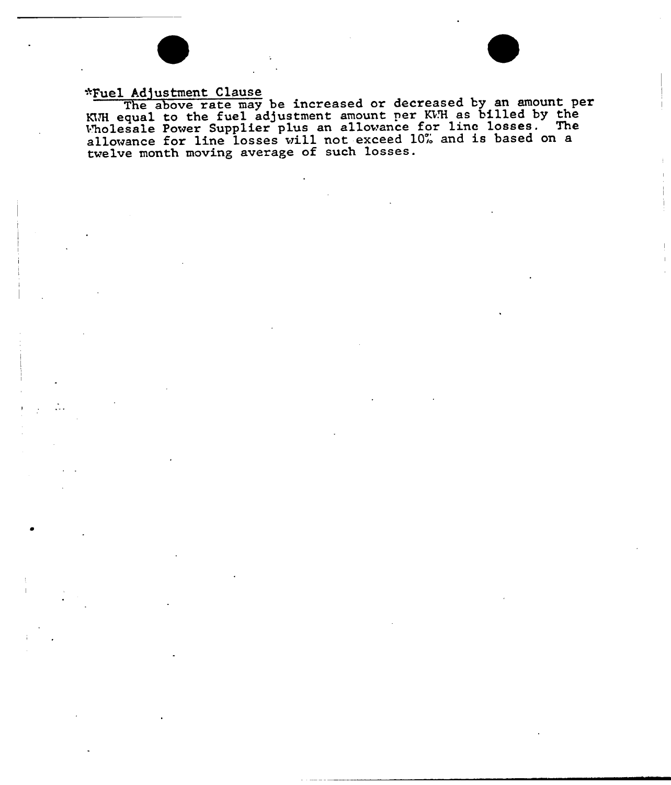# \*Fuel Adjustment Clause

The above rate may be increased or decreased by an amount per Ine above rate may be increased of decreased by the mount.<br>KWH equal to the fuel adjustment amount per KWH as billed by the KWH equal to the fuel adjustment amount per KWH as sized by the wholesale Power supplier plus an allowance for the rosses. The allowance for line losses will not exceed 10% and is based on a twelve month moving average of such losses.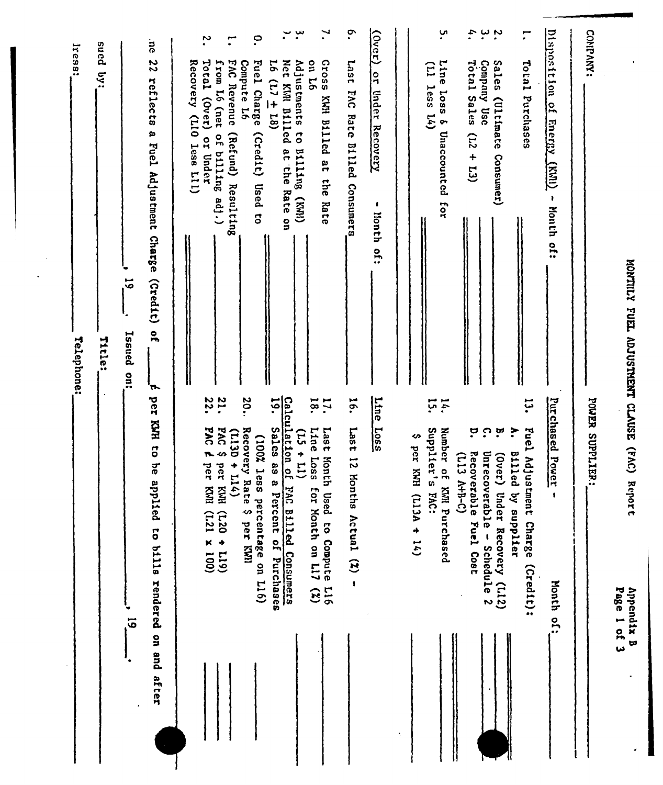|                           |                                                                                                              | Iress;<br>Telephone:                                                                                        |
|---------------------------|--------------------------------------------------------------------------------------------------------------|-------------------------------------------------------------------------------------------------------------|
|                           |                                                                                                              | sued<br>5.5<br>Title:                                                                                       |
| $\vec{5}$                 |                                                                                                              | $\vec{5}$<br>Issued<br>$rac{1}{2}$                                                                          |
| pue uo<br>after           | per<br><b>CJH HAY</b><br>ad.<br>applied<br>to bills rendered                                                 | ä<br>$\overline{c}$<br>reflects<br>a Fuel Adjustment Charge<br>(21)<br>$\frac{1}{2}$<br>H.                  |
|                           |                                                                                                              | Recovery (LIO less LII)                                                                                     |
|                           | 22.<br><b>PAC</b><br><b>n.</b><br>per<br>per<br><b>EXRI</b><br>$(001 \times 127)$                            | $\ddot{\phantom{0}}$<br>Total (Over) or Under<br>from L6 (net<br>of billing adj.)                           |
|                           | <b>21.</b><br>DVđ<br>$(113D + 114)$<br>S<br>KWH (CZD + CZZ)                                                  | $\mathbf{r}$<br><b>DAG</b><br>Revenue<br>(Refund) Resulting                                                 |
|                           | 20.<br>Recovery Rate \$ per KWI<br>(100% less<br>percentage on L16)                                          | $\circ$<br>Compute L6<br>Fuel Charge<br>(Credit)<br>Used to                                                 |
|                           | Calculation of 1<br>19. Sales as a<br>Percent of Purchases                                                   | $\cdot$<br>Net<br>$16(17 \pm 18)$<br>KIM Billed at the<br>Rate on                                           |
|                           | $(11 + 51)$<br>FAC Billed Consumers                                                                          | $\ddot{\bm{x}}$<br>Adjustments to Billing<br>(HMX)                                                          |
|                           | 18.<br>$\mathbf{r}$<br>Line<br>1 <sub>ast</sub><br>Loss<br>Month Used to Compute L16<br>for Month on L17 (%) | 7.<br><b>911 110</b><br>Ssoing<br>KWH<br><b>B111ed</b><br>a<br>B<br>the<br><br>Rate                         |
|                           | 16.<br>1887<br>$\vec{v}$<br>Mont<br>ths Actual (2)<br>$\pmb{\ast}$                                           | $\cdot$<br>Last<br><b>EAC</b><br>Rate Billed<br>Consumers                                                   |
|                           | <b>Line</b><br>$\frac{L055}{2}$                                                                              | $\frac{(\text{over})}{(\text{over})}$<br>$\frac{1}{2}$<br><b>Under Recovery</b><br>6<br>honth<br>$\ddot{5}$ |
| ÷                         |                                                                                                              |                                                                                                             |
|                           | ∽<br>per KWH<br>$(113A + 14)$                                                                                |                                                                                                             |
|                           | 14.<br>Supplier's<br>Number of KNH Purchased<br><b>FAC:</b>                                                  | ù.<br>Line<br>$\Xi$<br>$l$ ess $L(4)$<br><b>Loss</b><br>8 Unaccounted for                                   |
|                           | ဗ<br>Recoverable Fuel Cost<br>$(113 A+B-C)$                                                                  | ¢.<br>Total Sales<br>(12)<br>$+13)$                                                                         |
|                           | $\Omega$<br>$\mathbf{\hat{a}}$<br>Unrecoverable -<br>(300c)<br>Under Recovery (L12)<br>Schedule 2            | $\cdot$ $\cdot$<br>Company Use<br>Sales<br>(Ultimate<br>Consumer)                                           |
|                           | تبا<br>•<br>$\ddot{ }$<br>Fuel Adjustment Charge<br><b>Billed</b><br>by supplier<br>(Credit):                | $\mathbf{r}$<br>Total Purchases                                                                             |
| Month of:                 | Purchased Power                                                                                              | Disposition<br>of Energy<br><b>Crima</b><br>$\pmb{\cdot}$<br>Month<br>of:                                   |
|                           | POWER SUPPLIER:                                                                                              | CONDAMY:                                                                                                    |
| Page 1 of 3<br>Appendix B | (VV)<br>Report                                                                                               | MONTILY FUEL ADJUSTMENT CLAUSE                                                                              |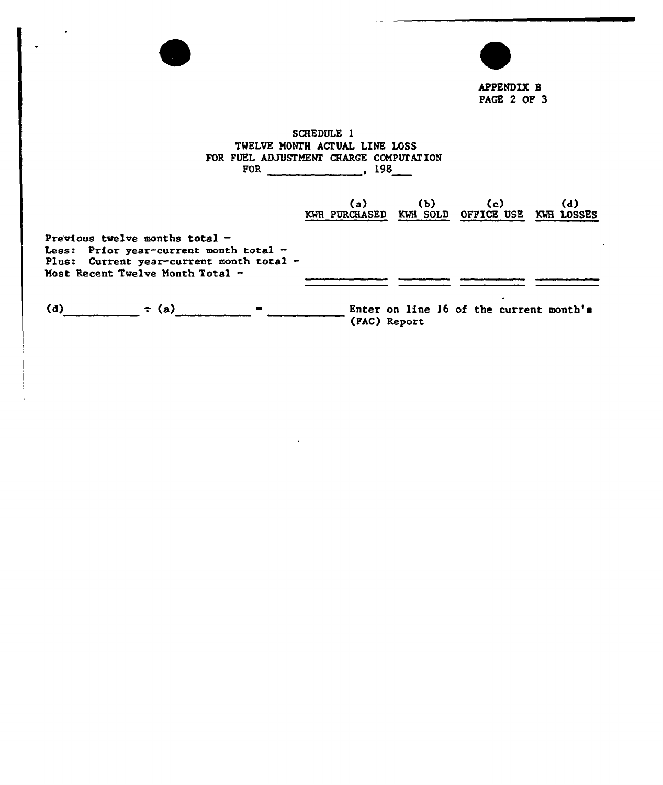